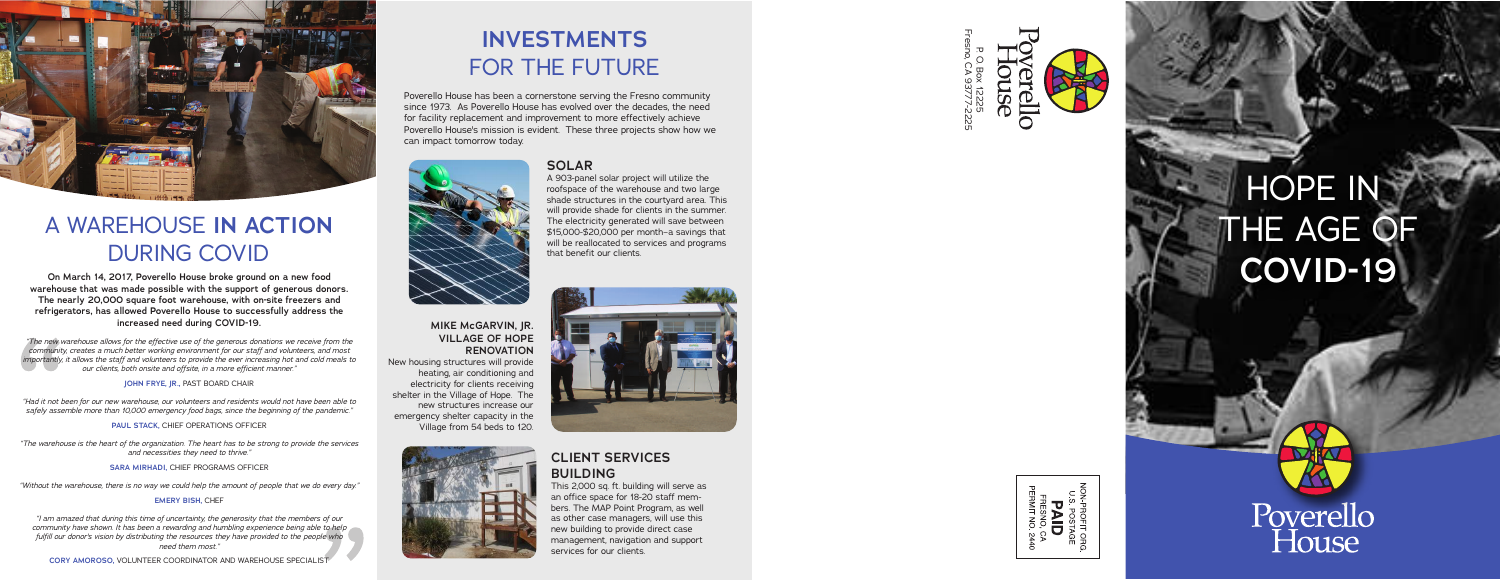## **INVESTMENTS** FOR THE FUTURE

#### **CLIENT SERVICES BUILDING**

This 2,000 sq. ft. building will serve as an office space for 18-20 staff mem bers. The MAP Point Program, as well as other case managers, will use this new building to provide direct case management, navigation and support services for our clients.

#### **MIKE McGARVIN, JR. VILLAGE OF HOPE RENOVATION**

New housing structures will provide heating, air conditioning and electricity for clients receiving shelter in the Village of Hope. The new structures increase our emergency shelter capacity in the Village from 54 beds to 120.



# HOPE IN THE AGE OF **COVID-19**

Poverello<br>House



#### **SOLAR**

A 903-panel solar project will utilize the roofspace of the warehouse and two large shade structures in the courtyard area. This will provide shade for clients in the summer. The electricity generated will save between \$15,000-\$20,000 per month–a savings that will be reallocated to services and programs that benefit our clients.





## A WAREHOUSE **IN ACTION** DURING COVID

**On March 14, 2017, Poverello House broke ground on a new food warehouse that was made possible with the support of generous donors. The nearly 20,000 square foot warehouse, with on-site freezers and refrigerators, has allowed Poverello House to successfully address the increased need during COVID-19.**

*"The new warehouse allows for the effective use of the generous donations we receive from the community, creates a much better working environment for our staff and volunteers, and most importantly, it allows the staff and volunteers to provide the ever increasing hot and cold meals to our clients, both onsite and offsite, in a more efficient manner."* 

**JOHN FRYE, JR.,** PAST BOARD CHAIR

*"Had it not been for our new warehouse, our volunteers and residents would not have been able to safely assemble more than 10,000 emergency food bags, since the beginning of the pandemic."*

**PAUL STACK, CHIEF OPERATIONS OFFICER** 

*"The warehouse is the heart of the organization. The heart has to be strong to provide the services and necessities they need to thrive."*

**SARA MIRHADI,** CHIEF PROGRAMS OFFICER

*"Without the warehouse, there is no way we could help the amount of people that we do every day."*

#### **EMERY BISH, CHEF**

*"I am amazed that during this time of uncertainty, the generosity that the members of our community have shown. It has been a rewarding and humbling experience being able to help fulfill our donor's vision by distributing the resources they have provided to the people who need them most."*



Poverello House has been a cornerstone serving the Fresno community since 1973. As Poverello House has evolved over the decades, the need for facility replacement and improvement to more effectively achieve Poverello House's mission is evident. These three projects show how we can impact tomorrow today.